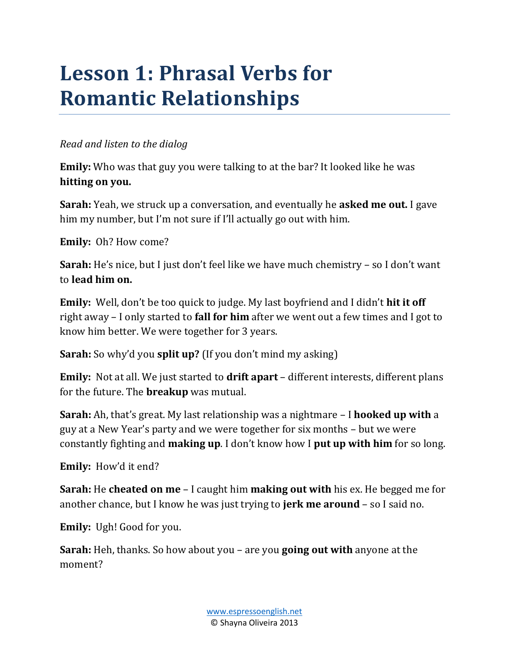# **Lesson 1: Phrasal Verbs for Romantic Relationships**

### *Read and listen to the dialog*

**Emily:** Who was that guy you were talking to at the bar? It looked like he was **hitting on you.**

**Sarah:** Yeah, we struck up a conversation, and eventually he **asked me out.** I gave him my number, but I'm not sure if I'll actually go out with him.

**Emily:** Oh? How come?

**Sarah:** He's nice, but I just don't feel like we have much chemistry – so I don't want to **lead him on.**

**Emily:** Well, don't be too quick to judge. My last boyfriend and I didn't **hit it off** right away – I only started to **fall for him** after we went out a few times and I got to know him better. We were together for 3 years.

**Sarah:** So why'd you **split up?** (If you don't mind my asking)

**Emily:** Not at all. We just started to **drift apart** – different interests, different plans for the future. The **breakup** was mutual.

**Sarah:** Ah, that's great. My last relationship was a nightmare – I **hooked up with** a guy at a New Year's party and we were together for six months – but we were constantly fighting and **making up**. I don't know how I **put up with him** for so long.

**Emily:** How'd it end?

**Sarah:** He **cheated on me** – I caught him **making out with** his ex. He begged me for another chance, but I know he was just trying to **jerk me around** – so I said no.

**Emily:** Ugh! Good for you.

**Sarah:** Heh, thanks. So how about you – are you **going out with** anyone at the moment?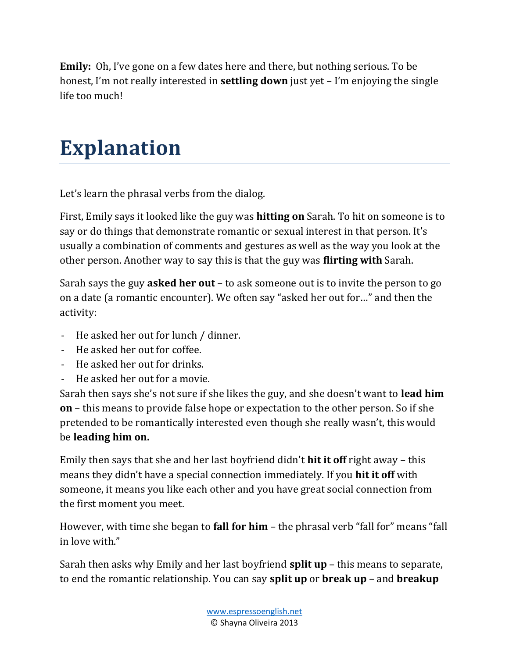**Emily:** Oh, I've gone on a few dates here and there, but nothing serious. To be honest, I'm not really interested in **settling down** just yet – I'm enjoying the single life too much!

# **Explanation**

Let's learn the phrasal verbs from the dialog.

First, Emily says it looked like the guy was **hitting on** Sarah. To hit on someone is to say or do things that demonstrate romantic or sexual interest in that person. It's usually a combination of comments and gestures as well as the way you look at the other person. Another way to say this is that the guy was **flirting with** Sarah.

Sarah says the guy **asked her out** – to ask someone out is to invite the person to go on a date (a romantic encounter). We often say "asked her out for…" and then the activity:

- He asked her out for lunch / dinner.
- He asked her out for coffee.
- He asked her out for drinks.
- He asked her out for a movie.

Sarah then says she's not sure if she likes the guy, and she doesn't want to **lead him on** – this means to provide false hope or expectation to the other person. So if she pretended to be romantically interested even though she really wasn't, this would be **leading him on.**

Emily then says that she and her last boyfriend didn't **hit it off** right away – this means they didn't have a special connection immediately. If you **hit it off** with someone, it means you like each other and you have great social connection from the first moment you meet.

However, with time she began to **fall for him** – the phrasal verb "fall for" means "fall in love with."

Sarah then asks why Emily and her last boyfriend **split up** – this means to separate, to end the romantic relationship. You can say **split up** or **break up** – and **breakup**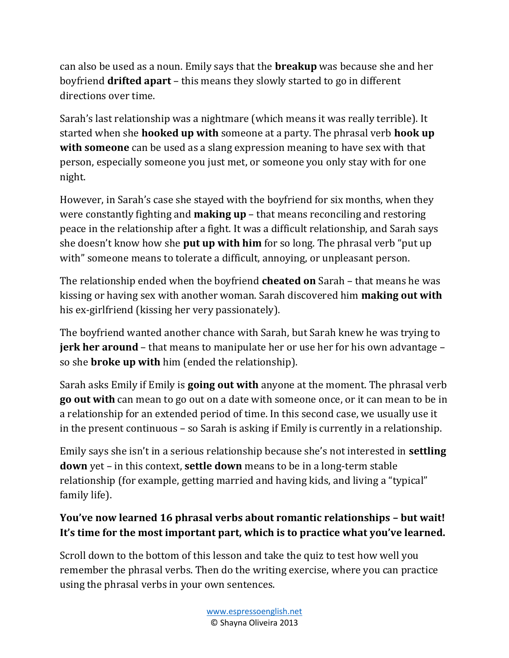can also be used as a noun. Emily says that the **breakup** was because she and her boyfriend **drifted apart** – this means they slowly started to go in different directions over time.

Sarah's last relationship was a nightmare (which means it was really terrible). It started when she **hooked up with** someone at a party. The phrasal verb **hook up with someone** can be used as a slang expression meaning to have sex with that person, especially someone you just met, or someone you only stay with for one night.

However, in Sarah's case she stayed with the boyfriend for six months, when they were constantly fighting and **making up** – that means reconciling and restoring peace in the relationship after a fight. It was a difficult relationship, and Sarah says she doesn't know how she **put up with him** for so long. The phrasal verb "put up with" someone means to tolerate a difficult, annoying, or unpleasant person.

The relationship ended when the boyfriend **cheated on** Sarah – that means he was kissing or having sex with another woman. Sarah discovered him **making out with**  his ex-girlfriend (kissing her very passionately).

The boyfriend wanted another chance with Sarah, but Sarah knew he was trying to **jerk her around** – that means to manipulate her or use her for his own advantage – so she **broke up with** him (ended the relationship).

Sarah asks Emily if Emily is **going out with** anyone at the moment. The phrasal verb **go out with** can mean to go out on a date with someone once, or it can mean to be in a relationship for an extended period of time. In this second case, we usually use it in the present continuous – so Sarah is asking if Emily is currently in a relationship.

Emily says she isn't in a serious relationship because she's not interested in **settling down** yet – in this context, **settle down** means to be in a long-term stable relationship (for example, getting married and having kids, and living a "typical" family life).

### **You've now learned 16 phrasal verbs about romantic relationships – but wait! It's time for the most important part, which is to practice what you've learned.**

Scroll down to the bottom of this lesson and take the quiz to test how well you remember the phrasal verbs. Then do the writing exercise, where you can practice using the phrasal verbs in your own sentences.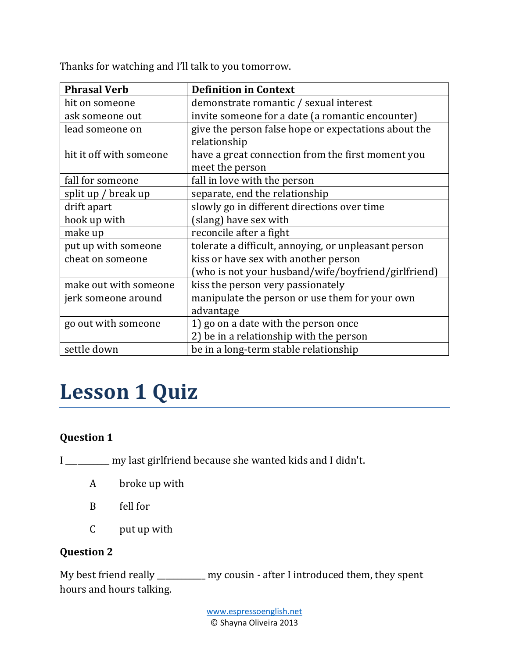| <b>Phrasal Verb</b>     | <b>Definition in Context</b>                         |
|-------------------------|------------------------------------------------------|
| hit on someone          | demonstrate romantic / sexual interest               |
| ask someone out         | invite someone for a date (a romantic encounter)     |
| lead someone on         | give the person false hope or expectations about the |
|                         | relationship                                         |
| hit it off with someone | have a great connection from the first moment you    |
|                         | meet the person                                      |
| fall for someone        | fall in love with the person                         |
| split up / break up     | separate, end the relationship                       |
| drift apart             | slowly go in different directions over time          |
| hook up with            | (slang) have sex with                                |
| make up                 | reconcile after a fight                              |
| put up with someone     | tolerate a difficult, annoying, or unpleasant person |
| cheat on someone        | kiss or have sex with another person                 |
|                         | (who is not your husband/wife/boyfriend/girlfriend)  |
| make out with someone   | kiss the person very passionately                    |
| jerk someone around     | manipulate the person or use them for your own       |
|                         | advantage                                            |
| go out with someone     | 1) go on a date with the person once                 |
|                         | 2) be in a relationship with the person              |
| settle down             | be in a long-term stable relationship                |

Thanks for watching and I'll talk to you tomorrow.

# **Lesson 1 Quiz**

### **Question 1**

I \_\_\_\_\_\_\_\_\_\_\_ my last girlfriend because she wanted kids and I didn't.

- A broke up with
- B fell for
- C put up with

### **Question 2**

My best friend really \_\_\_\_\_\_\_\_\_\_\_ my cousin - after I introduced them, they spent hours and hours talking.

> [www.espressoenglish.net](http://www.espressoenglish.net/) © Shayna Oliveira 2013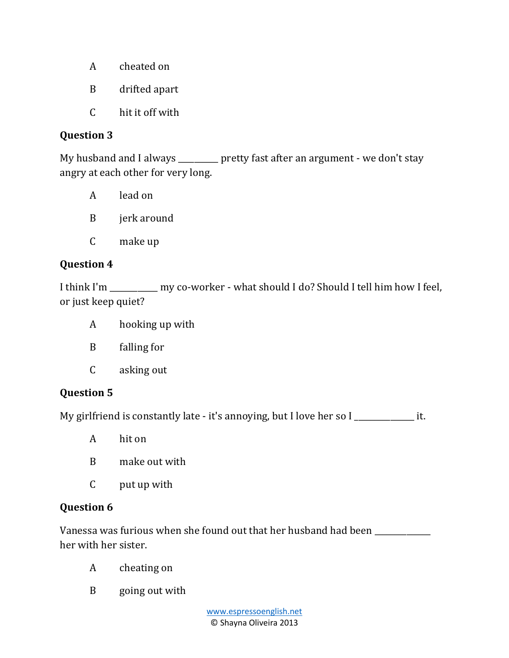- A cheated on
- B drifted apart
- C hit it off with

#### **Question 3**

My husband and I always \_\_\_\_\_\_\_\_\_ pretty fast after an argument - we don't stay angry at each other for very long.

- A lead on
- B jerk around
- C make up

#### **Question 4**

I think I'm \_\_\_\_\_\_\_\_\_\_\_\_ my co-worker - what should I do? Should I tell him how I feel, or just keep quiet?

- A hooking up with
- B falling for
- C asking out

#### **Question 5**

My girlfriend is constantly late - it's annoying, but I love her so I \_\_\_\_\_\_\_\_\_\_\_\_\_\_\_ it.

- A hit on
- B make out with
- C put up with

#### **Question 6**

Vanessa was furious when she found out that her husband had been her with her sister.

- A cheating on
- B going out with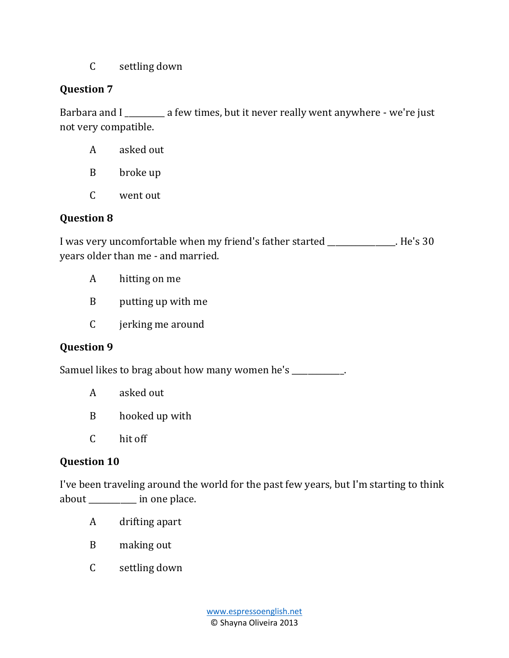#### C settling down

#### **Question 7**

Barbara and I \_\_\_\_\_\_\_\_ a few times, but it never really went anywhere - we're just not very compatible.

- A asked out
- B broke up
- C went out

#### **Question 8**

I was very uncomfortable when my friend's father started \_\_\_\_\_\_\_\_\_\_\_\_\_\_\_\_\_. He's 30 years older than me - and married.

- A hitting on me
- B putting up with me
- C jerking me around

#### **Question 9**

Samuel likes to brag about how many women he's \_\_\_\_\_\_\_\_\_\_.

- A asked out
- B hooked up with
- C hit off

#### **Question 10**

I've been traveling around the world for the past few years, but I'm starting to think about \_\_\_\_\_\_\_\_\_\_\_\_ in one place.

- A drifting apart
- B making out
- C settling down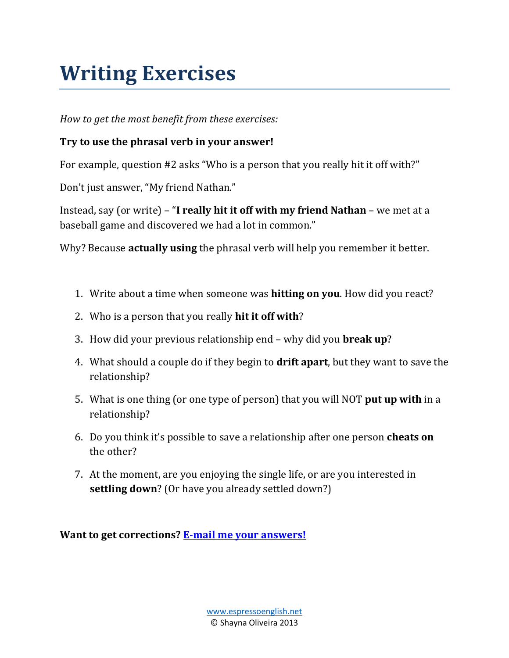# **Writing Exercises**

*How to get the most benefit from these exercises:*

### **Try to use the phrasal verb in your answer!**

For example, question #2 asks "Who is a person that you really hit it off with?"

Don't just answer, "My friend Nathan."

Instead, say (or write) – "**I really hit it off with my friend Nathan** – we met at a baseball game and discovered we had a lot in common."

Why? Because **actually using** the phrasal verb will help you remember it better.

- 1. Write about a time when someone was **hitting on you**. How did you react?
- 2. Who is a person that you really **hit it off with**?
- 3. How did your previous relationship end why did you **break up**?
- 4. What should a couple do if they begin to **drift apart**, but they want to save the relationship?
- 5. What is one thing (or one type of person) that you will NOT **put up with** in a relationship?
- 6. Do you think it's possible to save a relationship after one person **cheats on** the other?
- 7. At the moment, are you enjoying the single life, or are you interested in **settling down**? (Or have you already settled down?)

**Want to get corrections? [E-mail me your answers!](mailto:homework@espressoenglish.net)**